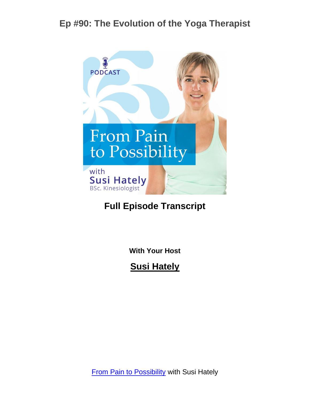

#### **Full Episode Transcript**

**With Your Host**

**Susi Hately**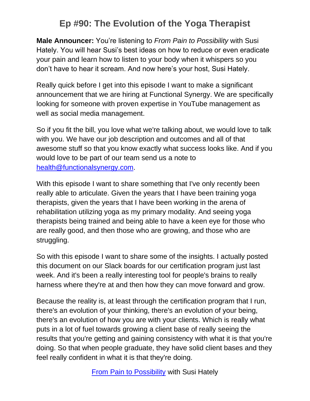**Male Announcer:** You're listening to *From Pain to Possibility* with Susi Hately. You will hear Susi's best ideas on how to reduce or even eradicate your pain and learn how to listen to your body when it whispers so you don't have to hear it scream. And now here's your host, Susi Hately.

Really quick before I get into this episode I want to make a significant announcement that we are hiring at Functional Synergy. We are specifically looking for someone with proven expertise in YouTube management as well as social media management.

So if you fit the bill, you love what we're talking about, we would love to talk with you. We have our job description and outcomes and all of that awesome stuff so that you know exactly what success looks like. And if you would love to be part of our team send us a note to [health@functionalsynergy.com.](mailto:health@functionalsynergy.com)

With this episode I want to share something that I've only recently been really able to articulate. Given the years that I have been training yoga therapists, given the years that I have been working in the arena of rehabilitation utilizing yoga as my primary modality. And seeing yoga therapists being trained and being able to have a keen eye for those who are really good, and then those who are growing, and those who are struggling.

So with this episode I want to share some of the insights. I actually posted this document on our Slack boards for our certification program just last week. And it's been a really interesting tool for people's brains to really harness where they're at and then how they can move forward and grow.

Because the reality is, at least through the certification program that I run, there's an evolution of your thinking, there's an evolution of your being, there's an evolution of how you are with your clients. Which is really what puts in a lot of fuel towards growing a client base of really seeing the results that you're getting and gaining consistency with what it is that you're doing. So that when people graduate, they have solid client bases and they feel really confident in what it is that they're doing.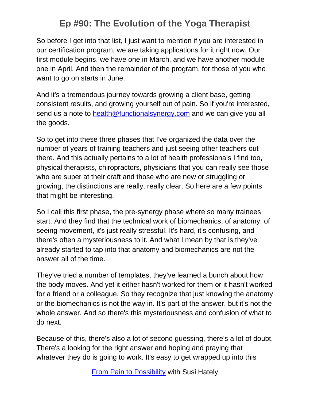So before I get into that list, I just want to mention if you are interested in our certification program, we are taking applications for it right now. Our first module begins, we have one in March, and we have another module one in April. And then the remainder of the program, for those of you who want to go on starts in June.

And it's a tremendous journey towards growing a client base, getting consistent results, and growing yourself out of pain. So if you're interested, send us a note to [health@functionalsynergy.com](mailto:health@functionalsynergy.com) and we can give you all the goods.

So to get into these three phases that I've organized the data over the number of years of training teachers and just seeing other teachers out there. And this actually pertains to a lot of health professionals I find too, physical therapists, chiropractors, physicians that you can really see those who are super at their craft and those who are new or struggling or growing, the distinctions are really, really clear. So here are a few points that might be interesting.

So I call this first phase, the pre-synergy phase where so many trainees start. And they find that the technical work of biomechanics, of anatomy, of seeing movement, it's just really stressful. It's hard, it's confusing, and there's often a mysteriousness to it. And what I mean by that is they've already started to tap into that anatomy and biomechanics are not the answer all of the time.

They've tried a number of templates, they've learned a bunch about how the body moves. And yet it either hasn't worked for them or it hasn't worked for a friend or a colleague. So they recognize that just knowing the anatomy or the biomechanics is not the way in. It's part of the answer, but it's not the whole answer. And so there's this mysteriousness and confusion of what to do next.

Because of this, there's also a lot of second guessing, there's a lot of doubt. There's a looking for the right answer and hoping and praying that whatever they do is going to work. It's easy to get wrapped up into this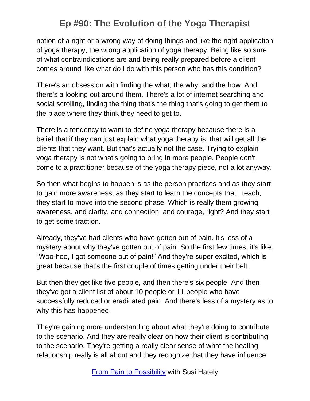notion of a right or a wrong way of doing things and like the right application of yoga therapy, the wrong application of yoga therapy. Being like so sure of what contraindications are and being really prepared before a client comes around like what do I do with this person who has this condition?

There's an obsession with finding the what, the why, and the how. And there's a looking out around them. There's a lot of internet searching and social scrolling, finding the thing that's the thing that's going to get them to the place where they think they need to get to.

There is a tendency to want to define yoga therapy because there is a belief that if they can just explain what yoga therapy is, that will get all the clients that they want. But that's actually not the case. Trying to explain yoga therapy is not what's going to bring in more people. People don't come to a practitioner because of the yoga therapy piece, not a lot anyway.

So then what begins to happen is as the person practices and as they start to gain more awareness, as they start to learn the concepts that I teach, they start to move into the second phase. Which is really them growing awareness, and clarity, and connection, and courage, right? And they start to get some traction.

Already, they've had clients who have gotten out of pain. It's less of a mystery about why they've gotten out of pain. So the first few times, it's like, "Woo-hoo, I got someone out of pain!" And they're super excited, which is great because that's the first couple of times getting under their belt.

But then they get like five people, and then there's six people. And then they've got a client list of about 10 people or 11 people who have successfully reduced or eradicated pain. And there's less of a mystery as to why this has happened.

They're gaining more understanding about what they're doing to contribute to the scenario. And they are really clear on how their client is contributing to the scenario. They're getting a really clear sense of what the healing relationship really is all about and they recognize that they have influence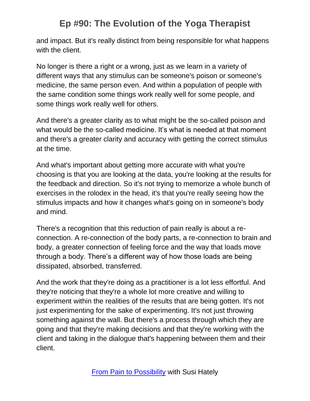and impact. But it's really distinct from being responsible for what happens with the client.

No longer is there a right or a wrong, just as we learn in a variety of different ways that any stimulus can be someone's poison or someone's medicine, the same person even. And within a population of people with the same condition some things work really well for some people, and some things work really well for others.

And there's a greater clarity as to what might be the so-called poison and what would be the so-called medicine. It's what is needed at that moment and there's a greater clarity and accuracy with getting the correct stimulus at the time.

And what's important about getting more accurate with what you're choosing is that you are looking at the data, you're looking at the results for the feedback and direction. So it's not trying to memorize a whole bunch of exercises in the rolodex in the head, it's that you're really seeing how the stimulus impacts and how it changes what's going on in someone's body and mind.

There's a recognition that this reduction of pain really is about a reconnection. A re-connection of the body parts, a re-connection to brain and body, a greater connection of feeling force and the way that loads move through a body. There's a different way of how those loads are being dissipated, absorbed, transferred.

And the work that they're doing as a practitioner is a lot less effortful. And they're noticing that they're a whole lot more creative and willing to experiment within the realities of the results that are being gotten. It's not just experimenting for the sake of experimenting. It's not just throwing something against the wall. But there's a process through which they are going and that they're making decisions and that they're working with the client and taking in the dialogue that's happening between them and their client.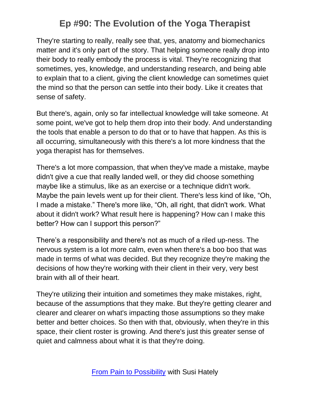They're starting to really, really see that, yes, anatomy and biomechanics matter and it's only part of the story. That helping someone really drop into their body to really embody the process is vital. They're recognizing that sometimes, yes, knowledge, and understanding research, and being able to explain that to a client, giving the client knowledge can sometimes quiet the mind so that the person can settle into their body. Like it creates that sense of safety.

But there's, again, only so far intellectual knowledge will take someone. At some point, we've got to help them drop into their body. And understanding the tools that enable a person to do that or to have that happen. As this is all occurring, simultaneously with this there's a lot more kindness that the yoga therapist has for themselves.

There's a lot more compassion, that when they've made a mistake, maybe didn't give a cue that really landed well, or they did choose something maybe like a stimulus, like as an exercise or a technique didn't work. Maybe the pain levels went up for their client. There's less kind of like, "Oh, I made a mistake." There's more like, "Oh, all right, that didn't work. What about it didn't work? What result here is happening? How can I make this better? How can I support this person?"

There's a responsibility and there's not as much of a riled up-ness. The nervous system is a lot more calm, even when there's a boo boo that was made in terms of what was decided. But they recognize they're making the decisions of how they're working with their client in their very, very best brain with all of their heart.

They're utilizing their intuition and sometimes they make mistakes, right, because of the assumptions that they make. But they're getting clearer and clearer and clearer on what's impacting those assumptions so they make better and better choices. So then with that, obviously, when they're in this space, their client roster is growing. And there's just this greater sense of quiet and calmness about what it is that they're doing.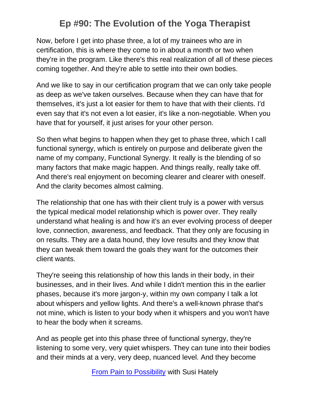Now, before I get into phase three, a lot of my trainees who are in certification, this is where they come to in about a month or two when they're in the program. Like there's this real realization of all of these pieces coming together. And they're able to settle into their own bodies.

And we like to say in our certification program that we can only take people as deep as we've taken ourselves. Because when they can have that for themselves, it's just a lot easier for them to have that with their clients. I'd even say that it's not even a lot easier, it's like a non-negotiable. When you have that for yourself, it just arises for your other person.

So then what begins to happen when they get to phase three, which I call functional synergy, which is entirely on purpose and deliberate given the name of my company, Functional Synergy. It really is the blending of so many factors that make magic happen. And things really, really take off. And there's real enjoyment on becoming clearer and clearer with oneself. And the clarity becomes almost calming.

The relationship that one has with their client truly is a power with versus the typical medical model relationship which is power over. They really understand what healing is and how it's an ever evolving process of deeper love, connection, awareness, and feedback. That they only are focusing in on results. They are a data hound, they love results and they know that they can tweak them toward the goals they want for the outcomes their client wants.

They're seeing this relationship of how this lands in their body, in their businesses, and in their lives. And while I didn't mention this in the earlier phases, because it's more jargon-y, within my own company I talk a lot about whispers and yellow lights. And there's a well-known phrase that's not mine, which is listen to your body when it whispers and you won't have to hear the body when it screams.

And as people get into this phase three of functional synergy, they're listening to some very, very quiet whispers. They can tune into their bodies and their minds at a very, very deep, nuanced level. And they become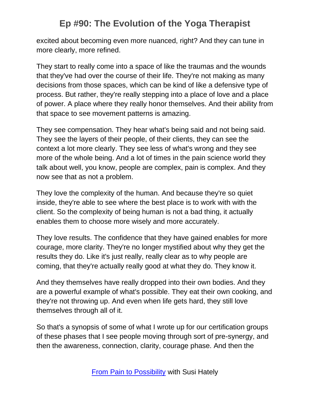excited about becoming even more nuanced, right? And they can tune in more clearly, more refined.

They start to really come into a space of like the traumas and the wounds that they've had over the course of their life. They're not making as many decisions from those spaces, which can be kind of like a defensive type of process. But rather, they're really stepping into a place of love and a place of power. A place where they really honor themselves. And their ability from that space to see movement patterns is amazing.

They see compensation. They hear what's being said and not being said. They see the layers of their people, of their clients, they can see the context a lot more clearly. They see less of what's wrong and they see more of the whole being. And a lot of times in the pain science world they talk about well, you know, people are complex, pain is complex. And they now see that as not a problem.

They love the complexity of the human. And because they're so quiet inside, they're able to see where the best place is to work with with the client. So the complexity of being human is not a bad thing, it actually enables them to choose more wisely and more accurately.

They love results. The confidence that they have gained enables for more courage, more clarity. They're no longer mystified about why they get the results they do. Like it's just really, really clear as to why people are coming, that they're actually really good at what they do. They know it.

And they themselves have really dropped into their own bodies. And they are a powerful example of what's possible. They eat their own cooking, and they're not throwing up. And even when life gets hard, they still love themselves through all of it.

So that's a synopsis of some of what I wrote up for our certification groups of these phases that I see people moving through sort of pre-synergy, and then the awareness, connection, clarity, courage phase. And then the